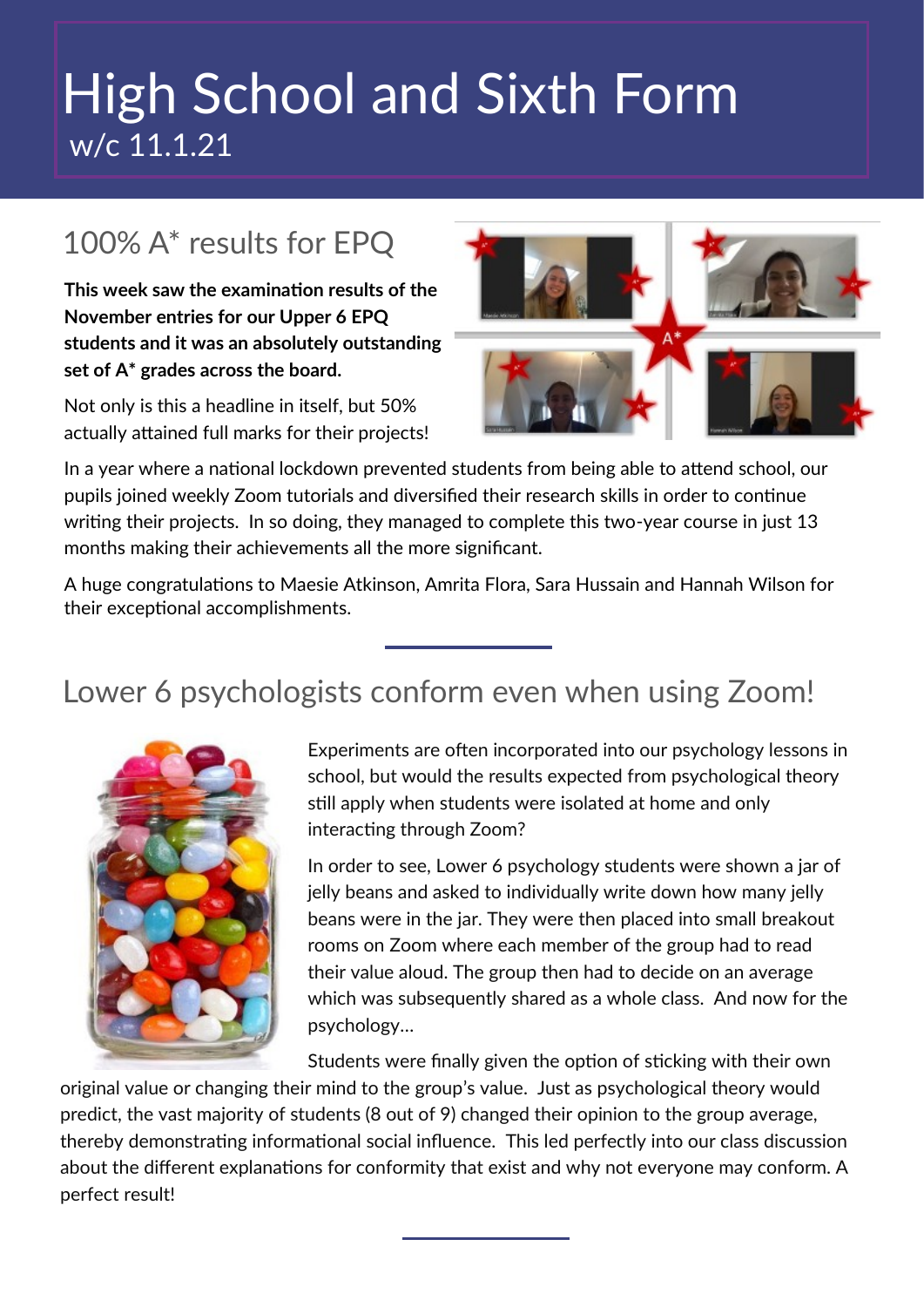## High School and Sixth Form w/c 11.1.21

### 100% A\* results for EPQ

**This week saw the examination results of the November entries for our Upper 6 EPQ students and it was an absolutely outstanding set of A\* grades across the board.**

Not only is this a headline in itself, but 50% actually attained full marks for their projects!



In a year where a national lockdown prevented students from being able to attend school, our pupils joined weekly Zoom tutorials and diversified their research skills in order to continue writing their projects. In so doing, they managed to complete this two-year course in just 13 months making their achievements all the more significant.

A huge congratulations to Maesie Atkinson, Amrita Flora, Sara Hussain and Hannah Wilson for their exceptional accomplishments.

### Lower 6 psychologists conform even when using Zoom!



Experiments are often incorporated into our psychology lessons in school, but would the results expected from psychological theory still apply when students were isolated at home and only interacting through Zoom?

In order to see, Lower 6 psychology students were shown a jar of jelly beans and asked to individually write down how many jelly beans were in the jar. They were then placed into small breakout rooms on Zoom where each member of the group had to read their value aloud. The group then had to decide on an average which was subsequently shared as a whole class. And now for the psychology…

Students were finally given the option of sticking with their own original value or changing their mind to the group's value. Just as psychological theory would predict, the vast majority of students (8 out of 9) changed their opinion to the group average, thereby demonstrating informational social influence. This led perfectly into our class discussion about the different explanations for conformity that exist and why not everyone may conform. A perfect result!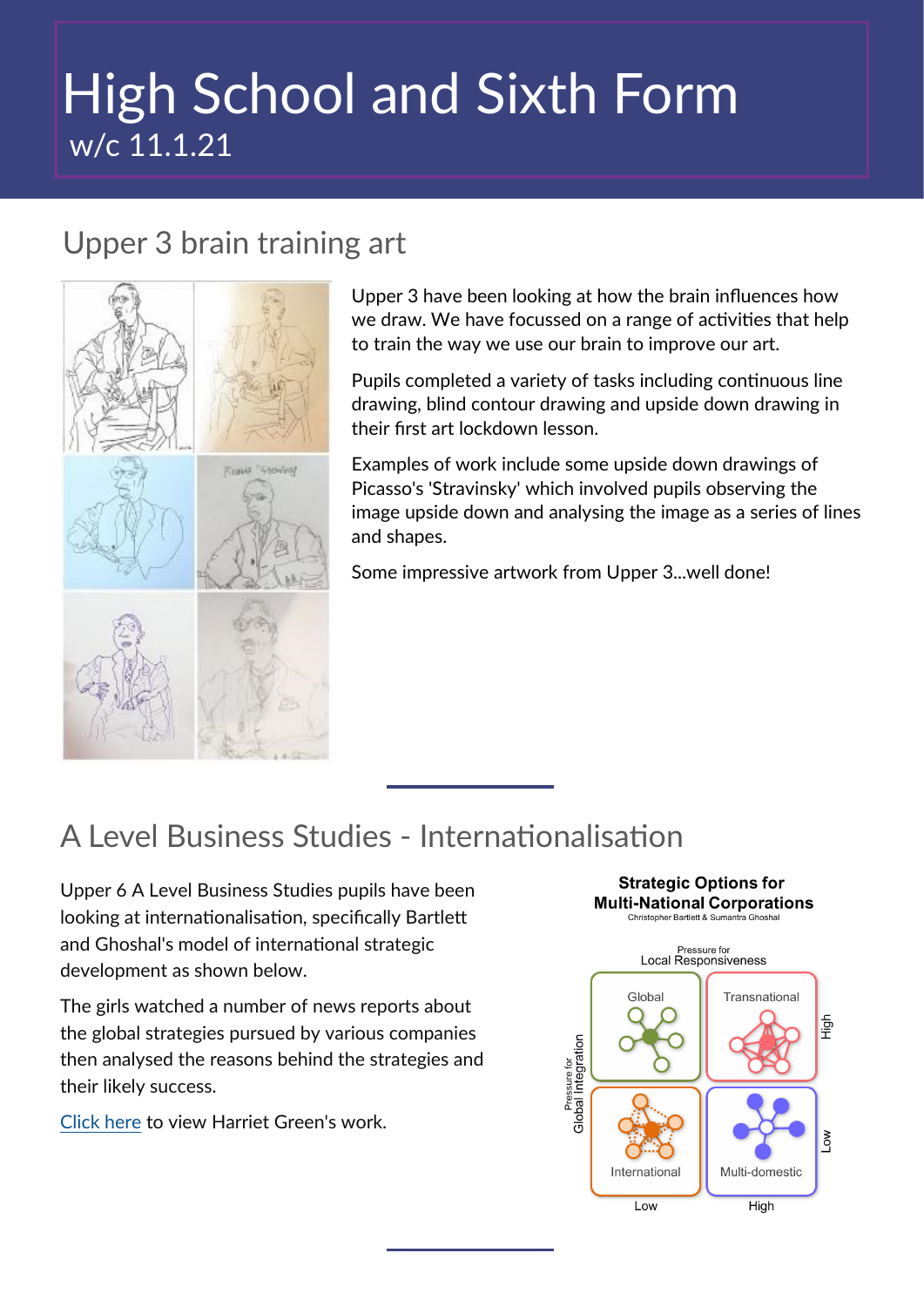# High School and Sixth Form w/c 11.1.21

#### Upper 3 brain training art



Upper 3 have been looking at how the brain influences how we draw. We have focussed on a range of activities that help to train the way we use our brain to improve our art.

Pupils completed a variety of tasks including continuous line drawing, blind contour drawing and upside down drawing in their first art lockdown lesson.

Examples of work include some upside down drawings of Picasso's 'Stravinsky' which involved pupils observing the image upside down and analysing the image as a series of lines and shapes.

Some impressive artwork from Upper 3...well done!

### A Level Business Studies - Internationalisation

Upper 6 A Level Business Studies pupils have been looking at internationalisation, specifically Bartlett and Ghoshal's model of international strategic development as shown below.

The girls watched a number of news reports about the global strategies pursued by various companies then analysed the reasons behind the strategies and their likely success.

[Click here](https://www.gatewaysschool.co.uk/wp-content/uploads/2021/01/Harriet-Green-International-strategic-analysis.pdf) to view Harriet Green's work.

#### **Strategic Options for Multi-National Corporations** Christopher Bartlett & Sumantra Ghosha Pressure for<br>Local Responsiveness Transnational Global | 동 Pressure for<br>Global Integration **NO** Internationa Multi-domestic Low High